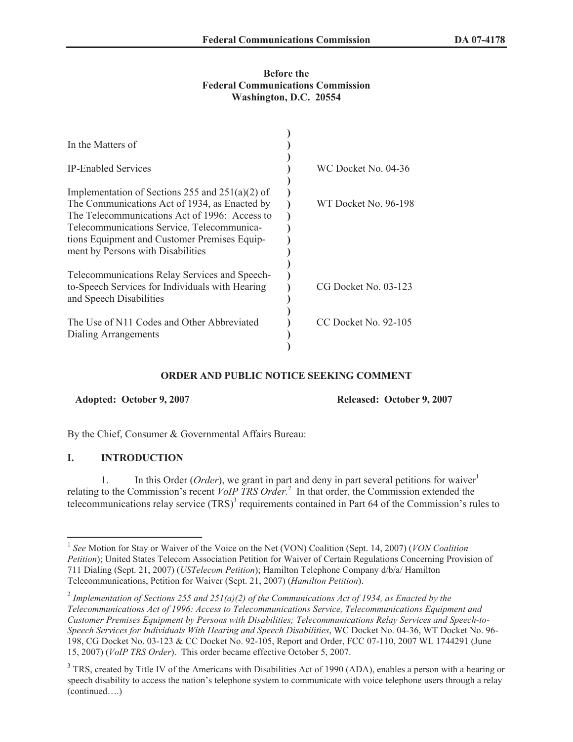### **Before the Federal Communications Commission Washington, D.C. 20554**

| In the Matters of                                                                                                                                                                                                                                                                      |                        |
|----------------------------------------------------------------------------------------------------------------------------------------------------------------------------------------------------------------------------------------------------------------------------------------|------------------------|
| <b>IP-Enabled Services</b>                                                                                                                                                                                                                                                             | WC Docket No. 04-36    |
| Implementation of Sections 255 and $251(a)(2)$ of<br>The Communications Act of 1934, as Enacted by<br>The Telecommunications Act of 1996: Access to<br>Telecommunications Service, Telecommunica-<br>tions Equipment and Customer Premises Equip-<br>ment by Persons with Disabilities | WT Docket No. 96-198   |
| Telecommunications Relay Services and Speech-<br>to-Speech Services for Individuals with Hearing<br>and Speech Disabilities                                                                                                                                                            | CG Docket No. 03-123   |
| The Use of N11 Codes and Other Abbreviated<br>Dialing Arrangements                                                                                                                                                                                                                     | $CC$ Docket No. 92-105 |

# **ORDER AND PUBLIC NOTICE SEEKING COMMENT**

**Adopted: October 9, 2007 Released: October 9, 2007**

By the Chief, Consumer & Governmental Affairs Bureau:

## **I. INTRODUCTION**

1. In this Order (*Order*), we grant in part and deny in part several petitions for waiver<sup>1</sup> relating to the Commission's recent *VoIP TRS Order.* 2 In that order, the Commission extended the telecommunications relay service  $(TRS)^3$  requirements contained in Part 64 of the Commission's rules to

<sup>&</sup>lt;sup>1</sup> See Motion for Stay or Waiver of the Voice on the Net (VON) Coalition (Sept. 14, 2007) (*VON Coalition Petition*); United States Telecom Association Petition for Waiver of Certain Regulations Concerning Provision of 711 Dialing (Sept. 21, 2007) (*USTelecom Petition*); Hamilton Telephone Company d/b/a/ Hamilton Telecommunications, Petition for Waiver (Sept. 21, 2007) (*Hamilton Petition*).

<sup>&</sup>lt;sup>2</sup> Implementation of Sections 255 and 251(a)(2) of the Communications Act of 1934, as Enacted by the *Telecommunications Act of 1996: Access to Telecommunications Service, Telecommunications Equipment and Customer Premises Equipment by Persons with Disabilities; Telecommunications Relay Services and Speech-to-Speech Services for Individuals With Hearing and Speech Disabilities*, WC Docket No. 04-36, WT Docket No. 96- 198, CG Docket No. 03-123 & CC Docket No. 92-105, Report and Order, FCC 07-110, 2007 WL 1744291 (June 15, 2007) (*VoIP TRS Order*). This order became effective October 5, 2007.

<sup>&</sup>lt;sup>3</sup> TRS, created by Title IV of the Americans with Disabilities Act of 1990 (ADA), enables a person with a hearing or speech disability to access the nation's telephone system to communicate with voice telephone users through a relay (continued….)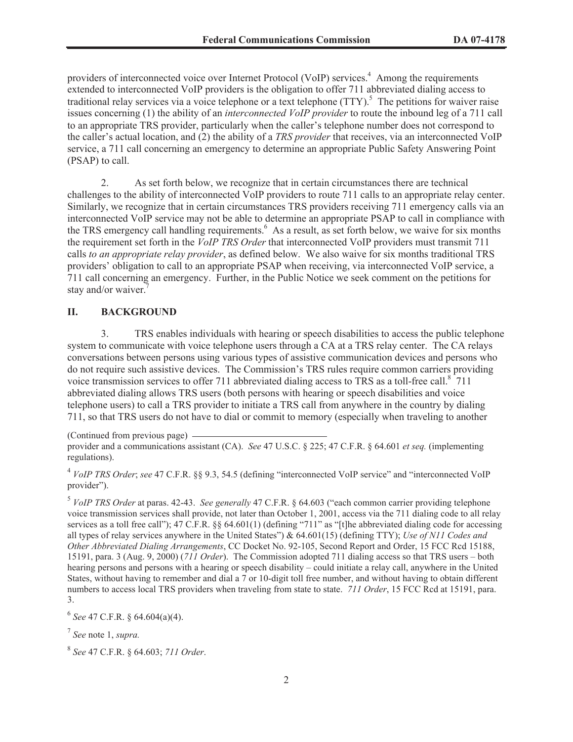providers of interconnected voice over Internet Protocol (VoIP) services.<sup>4</sup> Among the requirements extended to interconnected VoIP providers is the obligation to offer 711 abbreviated dialing access to traditional relay services via a voice telephone or a text telephone  $(TTY)$ .<sup>5</sup> The petitions for waiver raise issues concerning (1) the ability of an *interconnected VoIP provider* to route the inbound leg of a 711 call to an appropriate TRS provider, particularly when the caller's telephone number does not correspond to the caller's actual location, and (2) the ability of a *TRS provider* that receives, via an interconnected VoIP service, a 711 call concerning an emergency to determine an appropriate Public Safety Answering Point (PSAP) to call.

2. As set forth below, we recognize that in certain circumstances there are technical challenges to the ability of interconnected VoIP providers to route 711 calls to an appropriate relay center. Similarly, we recognize that in certain circumstances TRS providers receiving 711 emergency calls via an interconnected VoIP service may not be able to determine an appropriate PSAP to call in compliance with the TRS emergency call handling requirements.<sup>6</sup> As a result, as set forth below, we waive for six months the requirement set forth in the *VoIP TRS Order* that interconnected VoIP providers must transmit 711 calls *to an appropriate relay provider*, as defined below. We also waive for six months traditional TRS providers' obligation to call to an appropriate PSAP when receiving, via interconnected VoIP service, a 711 call concerning an emergency. Further, in the Public Notice we seek comment on the petitions for stay and/or waiver.<sup>7</sup>

#### **II. BACKGROUND**

3. TRS enables individuals with hearing or speech disabilities to access the public telephone system to communicate with voice telephone users through a CA at a TRS relay center. The CA relays conversations between persons using various types of assistive communication devices and persons who do not require such assistive devices. The Commission's TRS rules require common carriers providing voice transmission services to offer 711 abbreviated dialing access to TRS as a toll-free call.<sup>8</sup> 711 abbreviated dialing allows TRS users (both persons with hearing or speech disabilities and voice telephone users) to call a TRS provider to initiate a TRS call from anywhere in the country by dialing 711, so that TRS users do not have to dial or commit to memory (especially when traveling to another

(Continued from previous page)

<sup>4</sup> VoIP TRS Order; see 47 C.F.R. §§ 9.3, 54.5 (defining "interconnected VoIP service" and "interconnected VoIP provider").

5 *VoIP TRS Order* at paras. 42-43. *See generally* 47 C.F.R. § 64.603 ("each common carrier providing telephone voice transmission services shall provide, not later than October 1, 2001, access via the 711 dialing code to all relay services as a toll free call"); 47 C.F.R. §§ 64.601(1) (defining "711" as "[t]he abbreviated dialing code for accessing all types of relay services anywhere in the United States") & 64.601(15) (defining TTY); *Use of N11 Codes and Other Abbreviated Dialing Arrangements*, CC Docket No. 92-105, Second Report and Order, 15 FCC Rcd 15188, 15191, para. 3 (Aug. 9, 2000) (*711 Order*). The Commission adopted 711 dialing access so that TRS users – both hearing persons and persons with a hearing or speech disability – could initiate a relay call, anywhere in the United States, without having to remember and dial a 7 or 10-digit toll free number, and without having to obtain different numbers to access local TRS providers when traveling from state to state. *711 Order*, 15 FCC Rcd at 15191, para. 3.

6 *See* 47 C.F.R. § 64.604(a)(4).

7 *See* note 1, *supra.*

8 *See* 47 C.F.R. § 64.603; *711 Order*.

provider and a communications assistant (CA). *See* 47 U.S.C. § 225; 47 C.F.R. § 64.601 *et seq.* (implementing regulations).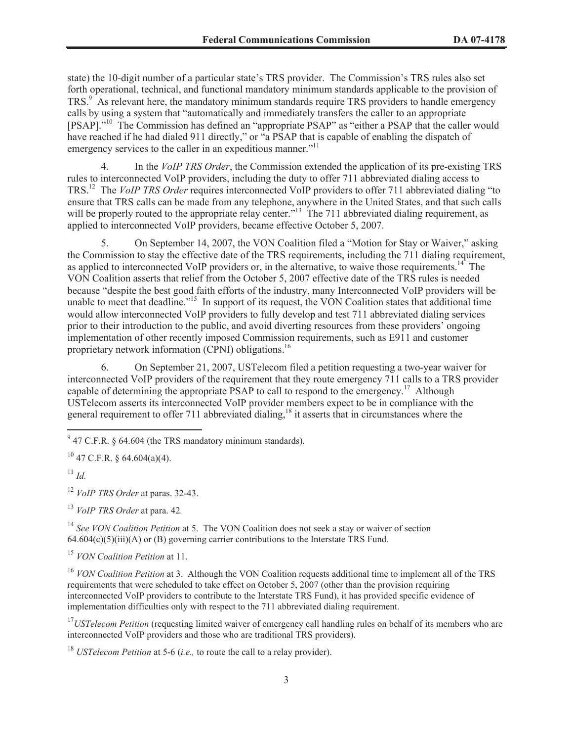state) the 10-digit number of a particular state's TRS provider. The Commission's TRS rules also set forth operational, technical, and functional mandatory minimum standards applicable to the provision of TRS.<sup>9</sup> As relevant here, the mandatory minimum standards require TRS providers to handle emergency calls by using a system that "automatically and immediately transfers the caller to an appropriate [PSAP]."<sup>10</sup> The Commission has defined an "appropriate PSAP" as "either a PSAP that the caller would have reached if he had dialed 911 directly," or "a PSAP that is capable of enabling the dispatch of emergency services to the caller in an expeditious manner."<sup>11</sup>

4. In the *VoIP TRS Order*, the Commission extended the application of its pre-existing TRS rules to interconnected VoIP providers, including the duty to offer 711 abbreviated dialing access to TRS. <sup>12</sup> The *VoIP TRS Order* requires interconnected VoIP providers to offer 711 abbreviated dialing "to ensure that TRS calls can be made from any telephone, anywhere in the United States, and that such calls will be properly routed to the appropriate relay center.<sup>"13</sup> The 711 abbreviated dialing requirement, as applied to interconnected VoIP providers, became effective October 5, 2007.

5. On September 14, 2007, the VON Coalition filed a "Motion for Stay or Waiver," asking the Commission to stay the effective date of the TRS requirements, including the 711 dialing requirement, as applied to interconnected VoIP providers or, in the alternative, to waive those requirements.<sup>14</sup> The VON Coalition asserts that relief from the October 5, 2007 effective date of the TRS rules is needed because "despite the best good faith efforts of the industry, many Interconnected VoIP providers will be unable to meet that deadline."<sup>15</sup> In support of its request, the VON Coalition states that additional time would allow interconnected VoIP providers to fully develop and test 711 abbreviated dialing services prior to their introduction to the public, and avoid diverting resources from these providers' ongoing implementation of other recently imposed Commission requirements, such as E911 and customer proprietary network information (CPNI) obligations.<sup>16</sup>

6. On September 21, 2007, USTelecom filed a petition requesting a two-year waiver for interconnected VoIP providers of the requirement that they route emergency 711 calls to a TRS provider capable of determining the appropriate PSAP to call to respond to the emergency.<sup>17</sup> Although USTelecom asserts its interconnected VoIP provider members expect to be in compliance with the general requirement to offer 711 abbreviated dialing,<sup>18</sup> it asserts that in circumstances where the

 $^{10}$  47 C.F.R. § 64.604(a)(4).

 $11$  *Id.* 

<sup>12</sup> *VoIP TRS Order* at paras. 32-43.

<sup>13</sup> *VoIP TRS Order* at para. 42*.*

<sup>14</sup> *See VON Coalition Petition* at 5. The VON Coalition does not seek a stay or waiver of section  $64.604(c)(5)(iii)(A)$  or (B) governing carrier contributions to the Interstate TRS Fund.

<sup>15</sup> *VON Coalition Petition* at 11.

<sup>16</sup> *VON Coalition Petition* at 3. Although the VON Coalition requests additional time to implement all of the TRS requirements that were scheduled to take effect on October 5, 2007 (other than the provision requiring interconnected VoIP providers to contribute to the Interstate TRS Fund), it has provided specific evidence of implementation difficulties only with respect to the 711 abbreviated dialing requirement.

<sup>17</sup>USTelecom Petition (requesting limited waiver of emergency call handling rules on behalf of its members who are interconnected VoIP providers and those who are traditional TRS providers).

<sup>18</sup> *USTelecom Petition* at 5-6 (*i.e.,* to route the call to a relay provider).

 $9^9$  47 C.F.R. § 64.604 (the TRS mandatory minimum standards).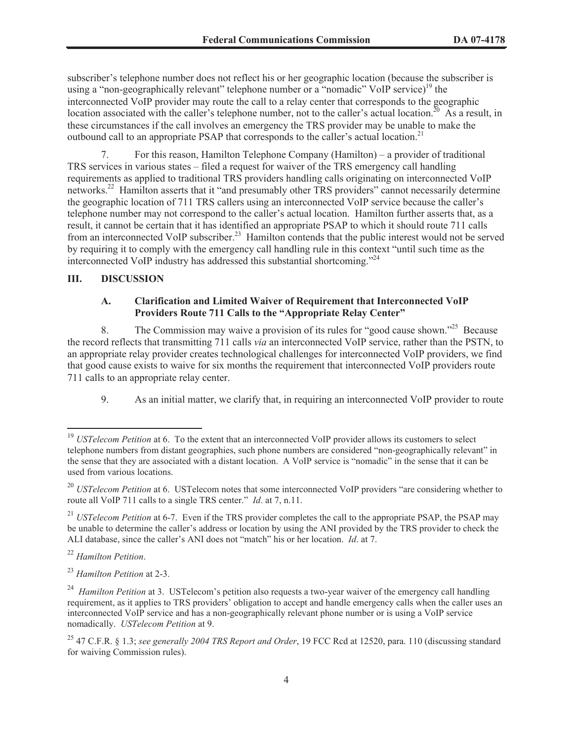subscriber's telephone number does not reflect his or her geographic location (because the subscriber is using a "non-geographically relevant" telephone number or a "nomadic" VoIP service)<sup>19</sup> the interconnected VoIP provider may route the call to a relay center that corresponds to the geographic location associated with the caller's telephone number, not to the caller's actual location.<sup>20</sup> As a result, in these circumstances if the call involves an emergency the TRS provider may be unable to make the outbound call to an appropriate PSAP that corresponds to the caller's actual location.<sup>21</sup>

7. For this reason, Hamilton Telephone Company (Hamilton) – a provider of traditional TRS services in various states – filed a request for waiver of the TRS emergency call handling requirements as applied to traditional TRS providers handling calls originating on interconnected VoIP networks.<sup>22</sup> Hamilton asserts that it "and presumably other TRS providers" cannot necessarily determine the geographic location of 711 TRS callers using an interconnected VoIP service because the caller's telephone number may not correspond to the caller's actual location. Hamilton further asserts that, as a result, it cannot be certain that it has identified an appropriate PSAP to which it should route 711 calls from an interconnected VoIP subscriber.<sup>23</sup> Hamilton contends that the public interest would not be served by requiring it to comply with the emergency call handling rule in this context "until such time as the interconnected VoIP industry has addressed this substantial shortcoming."<sup>24</sup>

# **III. DISCUSSION**

### **A. Clarification and Limited Waiver of Requirement that Interconnected VoIP Providers Route 711 Calls to the "Appropriate Relay Center"**

8. The Commission may waive a provision of its rules for "good cause shown."<sup>25</sup> Because the record reflects that transmitting 711 calls *via* an interconnected VoIP service, rather than the PSTN, to an appropriate relay provider creates technological challenges for interconnected VoIP providers, we find that good cause exists to waive for six months the requirement that interconnected VoIP providers route 711 calls to an appropriate relay center.

9. As an initial matter, we clarify that, in requiring an interconnected VoIP provider to route

<sup>22</sup> *Hamilton Petition*.

<sup>23</sup> *Hamilton Petition* at 2-3.

<sup>&</sup>lt;sup>19</sup> *USTelecom Petition* at 6. To the extent that an interconnected VoIP provider allows its customers to select telephone numbers from distant geographies, such phone numbers are considered "non-geographically relevant" in the sense that they are associated with a distant location. A VoIP service is "nomadic" in the sense that it can be used from various locations.

<sup>&</sup>lt;sup>20</sup> *USTelecom Petition* at 6. USTelecom notes that some interconnected VoIP providers "are considering whether to route all VoIP 711 calls to a single TRS center." *Id*. at 7, n.11.

<sup>&</sup>lt;sup>21</sup> *USTelecom Petition* at 6-7. Even if the TRS provider completes the call to the appropriate PSAP, the PSAP may be unable to determine the caller's address or location by using the ANI provided by the TRS provider to check the ALI database, since the caller's ANI does not "match" his or her location. *Id*. at 7.

<sup>&</sup>lt;sup>24</sup> *Hamilton Petition* at 3. USTelecom's petition also requests a two-year waiver of the emergency call handling requirement, as it applies to TRS providers' obligation to accept and handle emergency calls when the caller uses an interconnected VoIP service and has a non-geographically relevant phone number or is using a VoIP service nomadically. *USTelecom Petition* at 9.

<sup>25</sup> 47 C.F.R. § 1.3; *see generally 2004 TRS Report and Order*, 19 FCC Rcd at 12520, para. 110 (discussing standard for waiving Commission rules).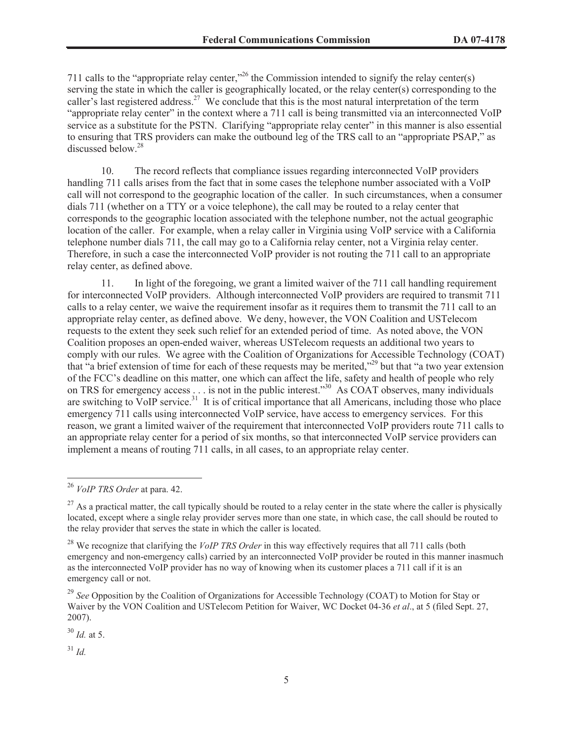711 calls to the "appropriate relay center,"<sup>26</sup> the Commission intended to signify the relay center(s) serving the state in which the caller is geographically located, or the relay center(s) corresponding to the caller's last registered address.<sup>27</sup> We conclude that this is the most natural interpretation of the term "appropriate relay center" in the context where a 711 call is being transmitted via an interconnected VoIP service as a substitute for the PSTN. Clarifying "appropriate relay center" in this manner is also essential to ensuring that TRS providers can make the outbound leg of the TRS call to an "appropriate PSAP," as discussed below.<sup>28</sup>

10. The record reflects that compliance issues regarding interconnected VoIP providers handling 711 calls arises from the fact that in some cases the telephone number associated with a VoIP call will not correspond to the geographic location of the caller. In such circumstances, when a consumer dials 711 (whether on a TTY or a voice telephone), the call may be routed to a relay center that corresponds to the geographic location associated with the telephone number, not the actual geographic location of the caller. For example, when a relay caller in Virginia using VoIP service with a California telephone number dials 711, the call may go to a California relay center, not a Virginia relay center. Therefore, in such a case the interconnected VoIP provider is not routing the 711 call to an appropriate relay center, as defined above.

11. In light of the foregoing, we grant a limited waiver of the 711 call handling requirement for interconnected VoIP providers. Although interconnected VoIP providers are required to transmit 711 calls to a relay center, we waive the requirement insofar as it requires them to transmit the 711 call to an appropriate relay center, as defined above. We deny, however, the VON Coalition and USTelecom requests to the extent they seek such relief for an extended period of time. As noted above, the VON Coalition proposes an open-ended waiver, whereas USTelecom requests an additional two years to comply with our rules. We agree with the Coalition of Organizations for Accessible Technology (COAT) that "a brief extension of time for each of these requests may be merited,"<sup>29</sup> but that "a two year extension of the FCC's deadline on this matter, one which can affect the life, safety and health of people who rely on TRS for emergency access . . . is not in the public interest."<sup>30</sup> As COAT observes, many individuals are switching to VoIP service.<sup>31</sup> It is of critical importance that all Americans, including those who place emergency 711 calls using interconnected VoIP service, have access to emergency services. For this reason, we grant a limited waiver of the requirement that interconnected VoIP providers route 711 calls to an appropriate relay center for a period of six months, so that interconnected VoIP service providers can implement a means of routing 711 calls, in all cases, to an appropriate relay center.

<sup>30</sup> *Id.* at 5.

<sup>31</sup> *Id.*

<sup>26</sup> *VoIP TRS Order* at para. 42.

 $27$  As a practical matter, the call typically should be routed to a relay center in the state where the caller is physically located, except where a single relay provider serves more than one state, in which case, the call should be routed to the relay provider that serves the state in which the caller is located.

<sup>&</sup>lt;sup>28</sup> We recognize that clarifying the *VoIP TRS Order* in this way effectively requires that all 711 calls (both emergency and non-emergency calls) carried by an interconnected VoIP provider be routed in this manner inasmuch as the interconnected VoIP provider has no way of knowing when its customer places a 711 call if it is an emergency call or not.

<sup>&</sup>lt;sup>29</sup> See Opposition by the Coalition of Organizations for Accessible Technology (COAT) to Motion for Stay or Waiver by the VON Coalition and USTelecom Petition for Waiver, WC Docket 04-36 *et al*., at 5 (filed Sept. 27, 2007).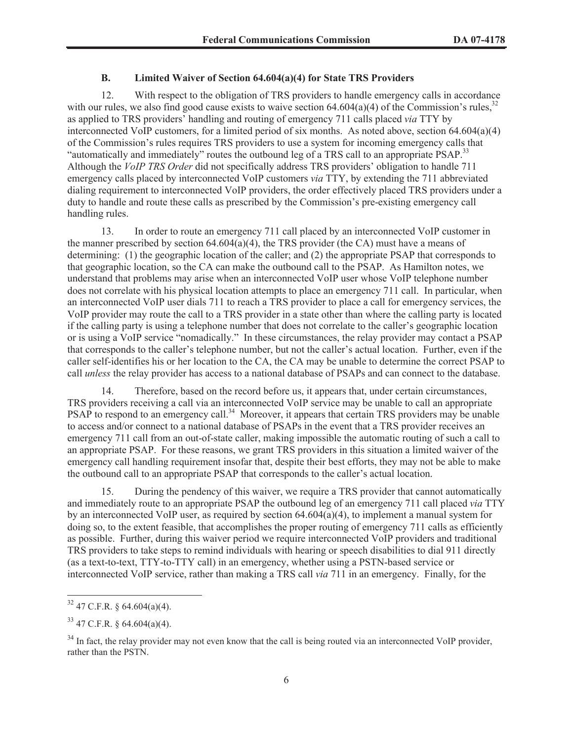## **B. Limited Waiver of Section 64.604(a)(4) for State TRS Providers**

12. With respect to the obligation of TRS providers to handle emergency calls in accordance with our rules, we also find good cause exists to waive section  $64.604(a)(4)$  of the Commission's rules,<sup>32</sup> as applied to TRS providers' handling and routing of emergency 711 calls placed *via* TTY by interconnected VoIP customers, for a limited period of six months. As noted above, section 64.604(a)(4) of the Commission's rules requires TRS providers to use a system for incoming emergency calls that "automatically and immediately" routes the outbound leg of a TRS call to an appropriate PSAP.<sup>33</sup> Although the *VoIP TRS Order* did not specifically address TRS providers' obligation to handle 711 emergency calls placed by interconnected VoIP customers *via* TTY, by extending the 711 abbreviated dialing requirement to interconnected VoIP providers, the order effectively placed TRS providers under a duty to handle and route these calls as prescribed by the Commission's pre-existing emergency call handling rules.

13. In order to route an emergency 711 call placed by an interconnected VoIP customer in the manner prescribed by section  $64.604(a)(4)$ , the TRS provider (the CA) must have a means of determining: (1) the geographic location of the caller; and (2) the appropriate PSAP that corresponds to that geographic location, so the CA can make the outbound call to the PSAP. As Hamilton notes, we understand that problems may arise when an interconnected VoIP user whose VoIP telephone number does not correlate with his physical location attempts to place an emergency 711 call. In particular, when an interconnected VoIP user dials 711 to reach a TRS provider to place a call for emergency services, the VoIP provider may route the call to a TRS provider in a state other than where the calling party is located if the calling party is using a telephone number that does not correlate to the caller's geographic location or is using a VoIP service "nomadically." In these circumstances, the relay provider may contact a PSAP that corresponds to the caller's telephone number, but not the caller's actual location. Further, even if the caller self-identifies his or her location to the CA, the CA may be unable to determine the correct PSAP to call *unless* the relay provider has access to a national database of PSAPs and can connect to the database.

14. Therefore, based on the record before us, it appears that, under certain circumstances, TRS providers receiving a call via an interconnected VoIP service may be unable to call an appropriate PSAP to respond to an emergency call.<sup>34</sup> Moreover, it appears that certain TRS providers may be unable to access and/or connect to a national database of PSAPs in the event that a TRS provider receives an emergency 711 call from an out-of-state caller, making impossible the automatic routing of such a call to an appropriate PSAP. For these reasons, we grant TRS providers in this situation a limited waiver of the emergency call handling requirement insofar that, despite their best efforts, they may not be able to make the outbound call to an appropriate PSAP that corresponds to the caller's actual location.

15. During the pendency of this waiver, we require a TRS provider that cannot automatically and immediately route to an appropriate PSAP the outbound leg of an emergency 711 call placed *via* TTY by an interconnected VoIP user, as required by section 64.604(a)(4), to implement a manual system for doing so, to the extent feasible, that accomplishes the proper routing of emergency 711 calls as efficiently as possible. Further, during this waiver period we require interconnected VoIP providers and traditional TRS providers to take steps to remind individuals with hearing or speech disabilities to dial 911 directly (as a text-to-text, TTY-to-TTY call) in an emergency, whether using a PSTN-based service or interconnected VoIP service, rather than making a TRS call *via* 711 in an emergency. Finally, for the

 $32$  47 C.F.R. § 64.604(a)(4).

 $33$  47 C.F.R. § 64.604(a)(4).

 $34$  In fact, the relay provider may not even know that the call is being routed via an interconnected VoIP provider, rather than the PSTN.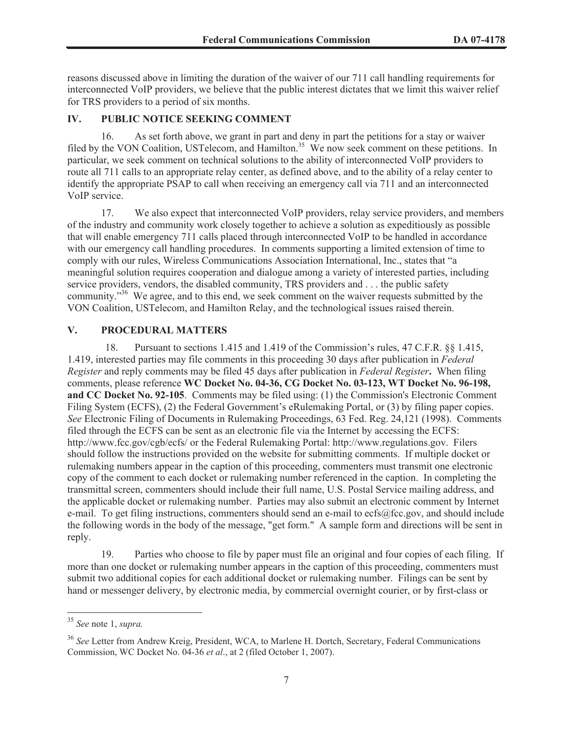reasons discussed above in limiting the duration of the waiver of our 711 call handling requirements for interconnected VoIP providers, we believe that the public interest dictates that we limit this waiver relief for TRS providers to a period of six months.

### **IV. PUBLIC NOTICE SEEKING COMMENT**

As set forth above, we grant in part and deny in part the petitions for a stay or waiver filed by the VON Coalition, USTelecom, and Hamilton.<sup>35</sup> We now seek comment on these petitions. In particular, we seek comment on technical solutions to the ability of interconnected VoIP providers to route all 711 calls to an appropriate relay center, as defined above, and to the ability of a relay center to identify the appropriate PSAP to call when receiving an emergency call via 711 and an interconnected VoIP service.

17. We also expect that interconnected VoIP providers, relay service providers, and members of the industry and community work closely together to achieve a solution as expeditiously as possible that will enable emergency 711 calls placed through interconnected VoIP to be handled in accordance with our emergency call handling procedures. In comments supporting a limited extension of time to comply with our rules, Wireless Communications Association International, Inc., states that "a meaningful solution requires cooperation and dialogue among a variety of interested parties, including service providers, vendors, the disabled community, TRS providers and . . . the public safety community."<sup>36</sup> We agree, and to this end, we seek comment on the waiver requests submitted by the VON Coalition, USTelecom, and Hamilton Relay, and the technological issues raised therein.

### **V. PROCEDURAL MATTERS**

18. Pursuant to sections 1.415 and 1.419 of the Commission's rules, 47 C.F.R. §§ 1.415, 1.419, interested parties may file comments in this proceeding 30 days after publication in *Federal Register* and reply comments may be filed 45 days after publication in *Federal Register***.** When filing comments, please reference **WC Docket No. 04-36, CG Docket No. 03-123, WT Docket No. 96-198, and CC Docket No. 92-105**. Comments may be filed using: (1) the Commission's Electronic Comment Filing System (ECFS), (2) the Federal Government's eRulemaking Portal, or (3) by filing paper copies. *See* Electronic Filing of Documents in Rulemaking Proceedings, 63 Fed. Reg. 24,121 (1998). Comments filed through the ECFS can be sent as an electronic file via the Internet by accessing the ECFS: http://www.fcc.gov/cgb/ecfs/ or the Federal Rulemaking Portal: http://www.regulations.gov. Filers should follow the instructions provided on the website for submitting comments. If multiple docket or rulemaking numbers appear in the caption of this proceeding, commenters must transmit one electronic copy of the comment to each docket or rulemaking number referenced in the caption. In completing the transmittal screen, commenters should include their full name, U.S. Postal Service mailing address, and the applicable docket or rulemaking number. Parties may also submit an electronic comment by Internet e-mail. To get filing instructions, commenters should send an e-mail to ecfs@fcc.gov, and should include the following words in the body of the message, "get form." A sample form and directions will be sent in reply.

19. Parties who choose to file by paper must file an original and four copies of each filing. If more than one docket or rulemaking number appears in the caption of this proceeding, commenters must submit two additional copies for each additional docket or rulemaking number. Filings can be sent by hand or messenger delivery, by electronic media, by commercial overnight courier, or by first-class or

<sup>35</sup> *See* note 1, *supra.*

<sup>36</sup> *See* Letter from Andrew Kreig, President, WCA, to Marlene H. Dortch, Secretary, Federal Communications Commission, WC Docket No. 04-36 *et al*., at 2 (filed October 1, 2007).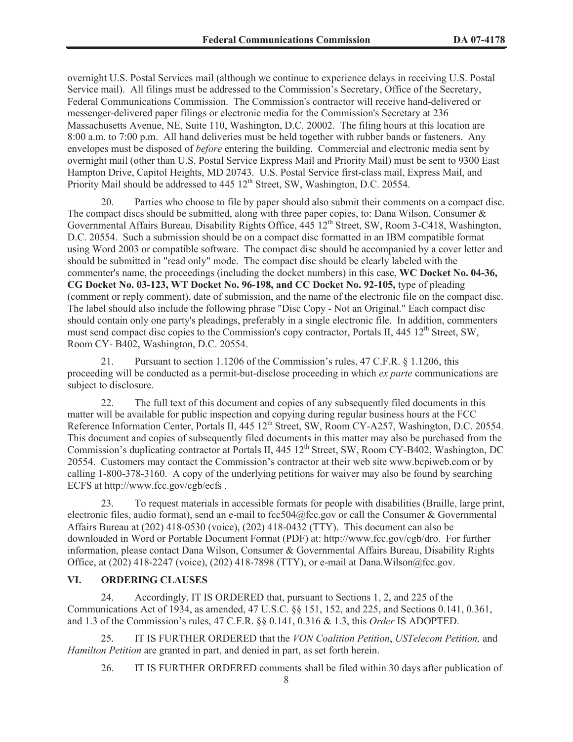overnight U.S. Postal Services mail (although we continue to experience delays in receiving U.S. Postal Service mail). All filings must be addressed to the Commission's Secretary, Office of the Secretary, Federal Communications Commission. The Commission's contractor will receive hand-delivered or messenger-delivered paper filings or electronic media for the Commission's Secretary at 236 Massachusetts Avenue, NE, Suite 110, Washington, D.C. 20002. The filing hours at this location are 8:00 a.m. to 7:00 p.m. All hand deliveries must be held together with rubber bands or fasteners. Any envelopes must be disposed of *before* entering the building. Commercial and electronic media sent by overnight mail (other than U.S. Postal Service Express Mail and Priority Mail) must be sent to 9300 East Hampton Drive, Capitol Heights, MD 20743. U.S. Postal Service first-class mail, Express Mail, and Priority Mail should be addressed to 445 12<sup>th</sup> Street, SW, Washington, D.C. 20554.

20. Parties who choose to file by paper should also submit their comments on a compact disc. The compact discs should be submitted, along with three paper copies, to: Dana Wilson, Consumer & Governmental Affairs Bureau, Disability Rights Office, 445 12<sup>th</sup> Street, SW, Room 3-C418, Washington, D.C. 20554. Such a submission should be on a compact disc formatted in an IBM compatible format using Word 2003 or compatible software. The compact disc should be accompanied by a cover letter and should be submitted in "read only" mode. The compact disc should be clearly labeled with the commenter's name, the proceedings (including the docket numbers) in this case, **WC Docket No. 04-36, CG Docket No. 03-123, WT Docket No. 96-198, and CC Docket No. 92-105,** type of pleading (comment or reply comment), date of submission, and the name of the electronic file on the compact disc. The label should also include the following phrase "Disc Copy - Not an Original." Each compact disc should contain only one party's pleadings, preferably in a single electronic file. In addition, commenters must send compact disc copies to the Commission's copy contractor, Portals II, 445 12<sup>th</sup> Street, SW, Room CY- B402, Washington, D.C. 20554.

21. Pursuant to section 1.1206 of the Commission's rules, 47 C.F.R. § 1.1206, this proceeding will be conducted as a permit-but-disclose proceeding in which *ex parte* communications are subject to disclosure.

22. The full text of this document and copies of any subsequently filed documents in this matter will be available for public inspection and copying during regular business hours at the FCC Reference Information Center, Portals II, 445 12<sup>th</sup> Street, SW, Room CY-A257, Washington, D.C. 20554. This document and copies of subsequently filed documents in this matter may also be purchased from the Commission's duplicating contractor at Portals II, 445 12<sup>th</sup> Street, SW, Room CY-B402, Washington, DC 20554. Customers may contact the Commission's contractor at their web site www.bcpiweb.com or by calling 1-800-378-3160. A copy of the underlying petitions for waiver may also be found by searching ECFS at http://www.fcc.gov/cgb/ecfs .

23. To request materials in accessible formats for people with disabilities (Braille, large print, electronic files, audio format), send an e-mail to fcc504@fcc.gov or call the Consumer & Governmental Affairs Bureau at (202) 418-0530 (voice), (202) 418-0432 (TTY). This document can also be downloaded in Word or Portable Document Format (PDF) at: http://www.fcc.gov/cgb/dro. For further information, please contact Dana Wilson, Consumer & Governmental Affairs Bureau, Disability Rights Office, at (202) 418-2247 (voice), (202) 418-7898 (TTY), or e-mail at Dana.Wilson@fcc.gov.

### **VI. ORDERING CLAUSES**

24. Accordingly, IT IS ORDERED that, pursuant to Sections 1, 2, and 225 of the Communications Act of 1934, as amended, 47 U.S.C. §§ 151, 152, and 225, and Sections 0.141, 0.361, and 1.3 of the Commission's rules, 47 C.F.R. §§ 0.141, 0.316 & 1.3, this *Order* IS ADOPTED.

25. IT IS FURTHER ORDERED that the *VON Coalition Petition*, *USTelecom Petition,* and *Hamilton Petition* are granted in part, and denied in part, as set forth herein.

26. IT IS FURTHER ORDERED comments shall be filed within 30 days after publication of